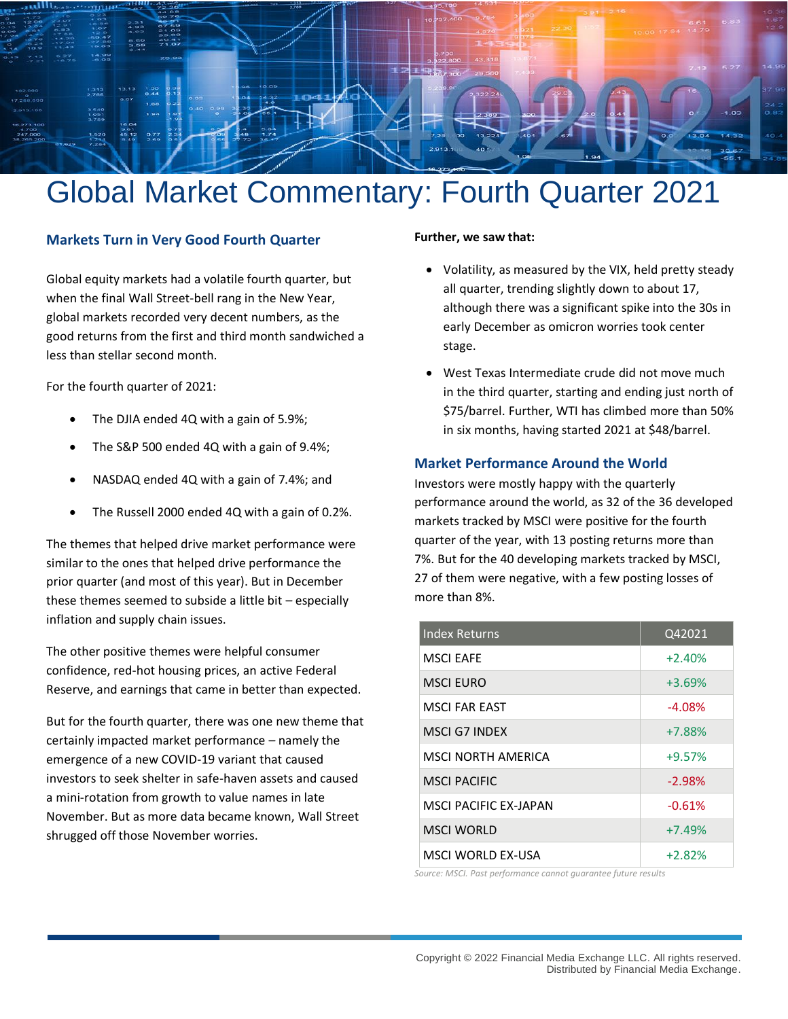

# Global Market Commentary: Fourth Quarter 2021

#### **Markets Turn in Very Good Fourth Quarter**

Global equity markets had a volatile fourth quarter, but when the final Wall Street-bell rang in the New Year, global markets recorded very decent numbers, as the good returns from the first and third month sandwiched a less than stellar second month.

For the fourth quarter of 2021:

- The DJIA ended 4Q with a gain of 5.9%;
- The S&P 500 ended 4Q with a gain of 9.4%;
- NASDAQ ended 4Q with a gain of 7.4%; and
- The Russell 2000 ended 4Q with a gain of 0.2%.

The themes that helped drive market performance were similar to the ones that helped drive performance the prior quarter (and most of this year). But in December these themes seemed to subside a little bit – especially inflation and supply chain issues.

The other positive themes were helpful consumer confidence, red-hot housing prices, an active Federal Reserve, and earnings that came in better than expected.

But for the fourth quarter, there was one new theme that certainly impacted market performance – namely the emergence of a new COVID-19 variant that caused investors to seek shelter in safe-haven assets and caused a mini-rotation from growth to value names in late November. But as more data became known, Wall Street shrugged off those November worries.

#### **Further, we saw that:**

- Volatility, as measured by the VIX, held pretty steady all quarter, trending slightly down to about 17, although there was a significant spike into the 30s in early December as omicron worries took center stage.
- West Texas Intermediate crude did not move much in the third quarter, starting and ending just north of \$75/barrel. Further, WTI has climbed more than 50% in six months, having started 2021 at \$48/barrel.

#### **Market Performance Around the World**

Investors were mostly happy with the quarterly performance around the world, as 32 of the 36 developed markets tracked by MSCI were positive for the fourth quarter of the year, with 13 posting returns more than 7%. But for the 40 developing markets tracked by MSCI, 27 of them were negative, with a few posting losses of more than 8%.

| <b>Index Returns</b> | Q42021   |
|----------------------|----------|
| <b>MSCI EAFE</b>     | $+2.40%$ |
| <b>MSCI EURO</b>     | $+3.69%$ |
| MSCLFAR FAST         | $-4.08%$ |
| MSCLG7 INDEX         | $+7.88%$ |
| MSCI NORTH AMFRICA   | $+9.57%$ |
| <b>MSCI PACIFIC</b>  | $-2.98%$ |
| MSCLPACIFIC FX-JAPAN | $-0.61%$ |
| <b>MSCI WORLD</b>    | $+7.49%$ |
| MSCLWORLD FX-USA     | $+2.82%$ |

*Source: MSCI. Past performance cannot guarantee future results*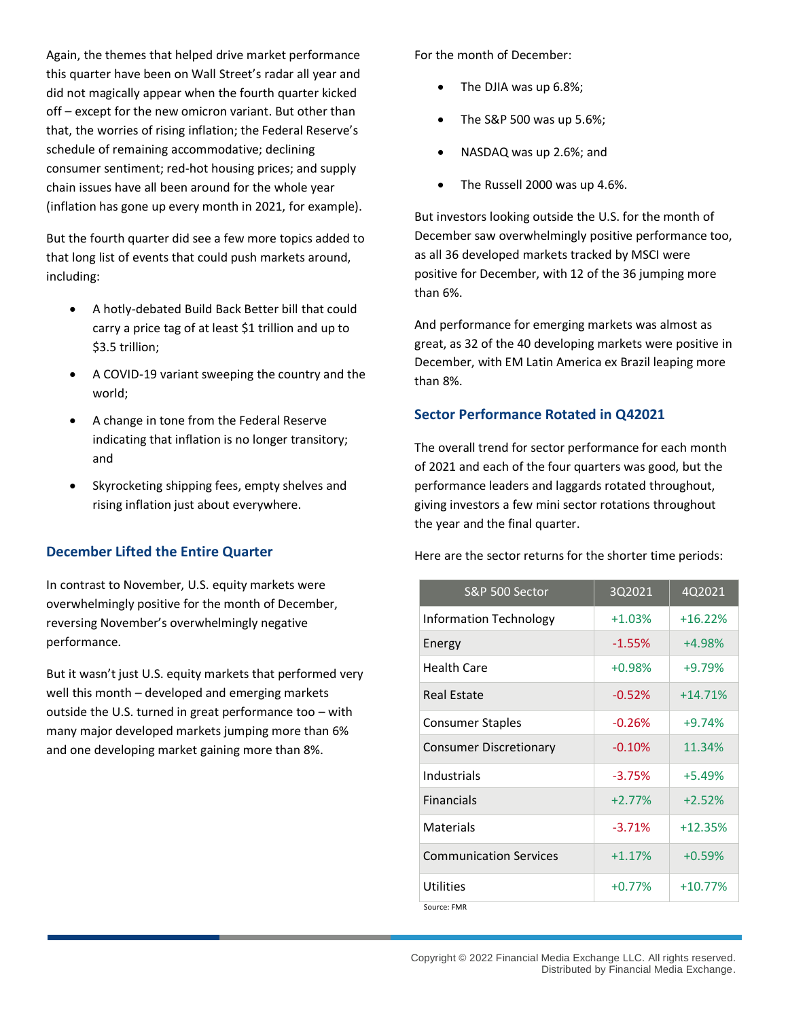Again, the themes that helped drive market performance this quarter have been on Wall Street's radar all year and did not magically appear when the fourth quarter kicked off – except for the new omicron variant. But other than that, the worries of rising inflation; the Federal Reserve's schedule of remaining accommodative; declining consumer sentiment; red-hot housing prices; and supply chain issues have all been around for the whole year (inflation has gone up every month in 2021, for example).

But the fourth quarter did see a few more topics added to that long list of events that could push markets around, including:

- A hotly-debated Build Back Better bill that could carry a price tag of at least \$1 trillion and up to \$3.5 trillion;
- A COVID-19 variant sweeping the country and the world;
- A change in tone from the Federal Reserve indicating that inflation is no longer transitory; and
- Skyrocketing shipping fees, empty shelves and rising inflation just about everywhere.

## **December Lifted the Entire Quarter**

In contrast to November, U.S. equity markets were overwhelmingly positive for the month of December, reversing November's overwhelmingly negative performance.

But it wasn't just U.S. equity markets that performed very well this month – developed and emerging markets outside the U.S. turned in great performance too – with many major developed markets jumping more than 6% and one developing market gaining more than 8%.

For the month of December:

- The DJIA was up 6.8%;
- The S&P 500 was up 5.6%;
- NASDAQ was up 2.6%; and
- The Russell 2000 was up 4.6%.

But investors looking outside the U.S. for the month of December saw overwhelmingly positive performance too, as all 36 developed markets tracked by MSCI were positive for December, with 12 of the 36 jumping more than 6%.

And performance for emerging markets was almost as great, as 32 of the 40 developing markets were positive in December, with EM Latin America ex Brazil leaping more than 8%.

# **Sector Performance Rotated in Q42021**

The overall trend for sector performance for each month of 2021 and each of the four quarters was good, but the performance leaders and laggards rotated throughout, giving investors a few mini sector rotations throughout the year and the final quarter.

Here are the sector returns for the shorter time periods:

| S&P 500 Sector                | 3Q2021   | 4Q2021    |
|-------------------------------|----------|-----------|
| Information Technology        | $+1.03%$ | $+16.22%$ |
| Energy                        | $-1.55%$ | $+4.98%$  |
| Health Care                   | $+0.98%$ | $+9.79%$  |
| <b>Real Estate</b>            | $-0.52%$ | $+14.71%$ |
| <b>Consumer Staples</b>       | $-0.26%$ | $+9.74%$  |
| <b>Consumer Discretionary</b> | $-0.10%$ | 11.34%    |
| Industrials                   | $-3.75%$ | $+5.49%$  |
| <b>Financials</b>             | $+2.77%$ | $+2.52%$  |
| Materials                     | $-3.71%$ | $+12.35%$ |
| <b>Communication Services</b> | $+1.17%$ | $+0.59%$  |
| Utilities                     | $+0.77%$ | $+10.77%$ |
| Source: FMR                   |          |           |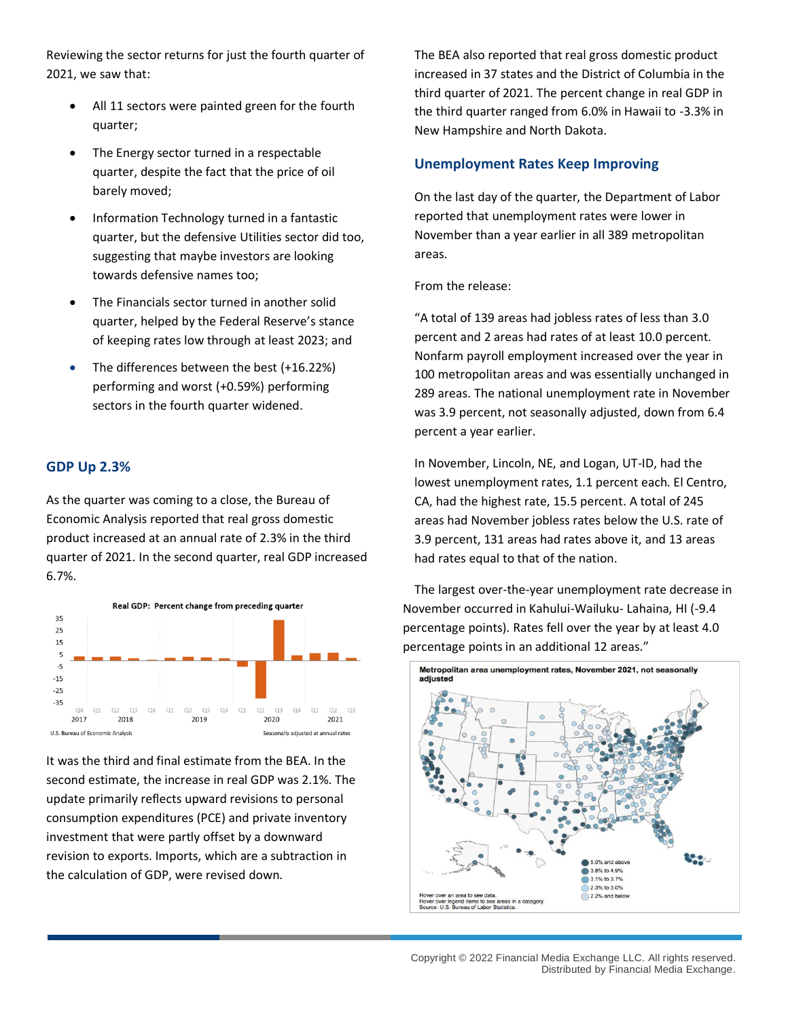Reviewing the sector returns for just the fourth quarter of 2021, we saw that:

- All 11 sectors were painted green for the fourth quarter;
- The Energy sector turned in a respectable quarter, despite the fact that the price of oil barely moved;
- Information Technology turned in a fantastic quarter, but the defensive Utilities sector did too, suggesting that maybe investors are looking towards defensive names too;
- The Financials sector turned in another solid quarter, helped by the Federal Reserve's stance of keeping rates low through at least 2023; and
- The differences between the best (+16.22%) performing and worst (+0.59%) performing sectors in the fourth quarter widened.

# **GDP Up 2.3%**

As the quarter was coming to a close, the Bureau of Economic Analysis reported that real gross domestic product increased at an annual rate of 2.3% in the third quarter of 2021. In the second quarter, real GDP increased 6.7%.



It was the third and final estimate from the BEA. In the second estimate, the increase in real GDP was 2.1%. The update primarily reflects upward revisions to personal consumption expenditures (PCE) and private inventory investment that were partly offset by a downward revision to exports. Imports, which are a subtraction in the calculation of GDP, were revised down.

The BEA also reported that real gross domestic product increased in 37 states and the District of Columbia in the third quarter of 2021. The percent change in real GDP in the third quarter ranged from 6.0% in Hawaii to -3.3% in New Hampshire and North Dakota.

## **Unemployment Rates Keep Improving**

On the last day of the quarter, the Department of Labor reported that unemployment rates were lower in November than a year earlier in all 389 metropolitan areas.

From the release:

"A total of 139 areas had jobless rates of less than 3.0 percent and 2 areas had rates of at least 10.0 percent. Nonfarm payroll employment increased over the year in 100 metropolitan areas and was essentially unchanged in 289 areas. The national unemployment rate in November was 3.9 percent, not seasonally adjusted, down from 6.4 percent a year earlier.

In November, Lincoln, NE, and Logan, UT-ID, had the lowest unemployment rates, 1.1 percent each. El Centro, CA, had the highest rate, 15.5 percent. A total of 245 areas had November jobless rates below the U.S. rate of 3.9 percent, 131 areas had rates above it, and 13 areas had rates equal to that of the nation.

The largest over-the-year unemployment rate decrease in November occurred in Kahului-Wailuku- Lahaina, HI (-9.4 percentage points). Rates fell over the year by at least 4.0 percentage points in an additional 12 areas."

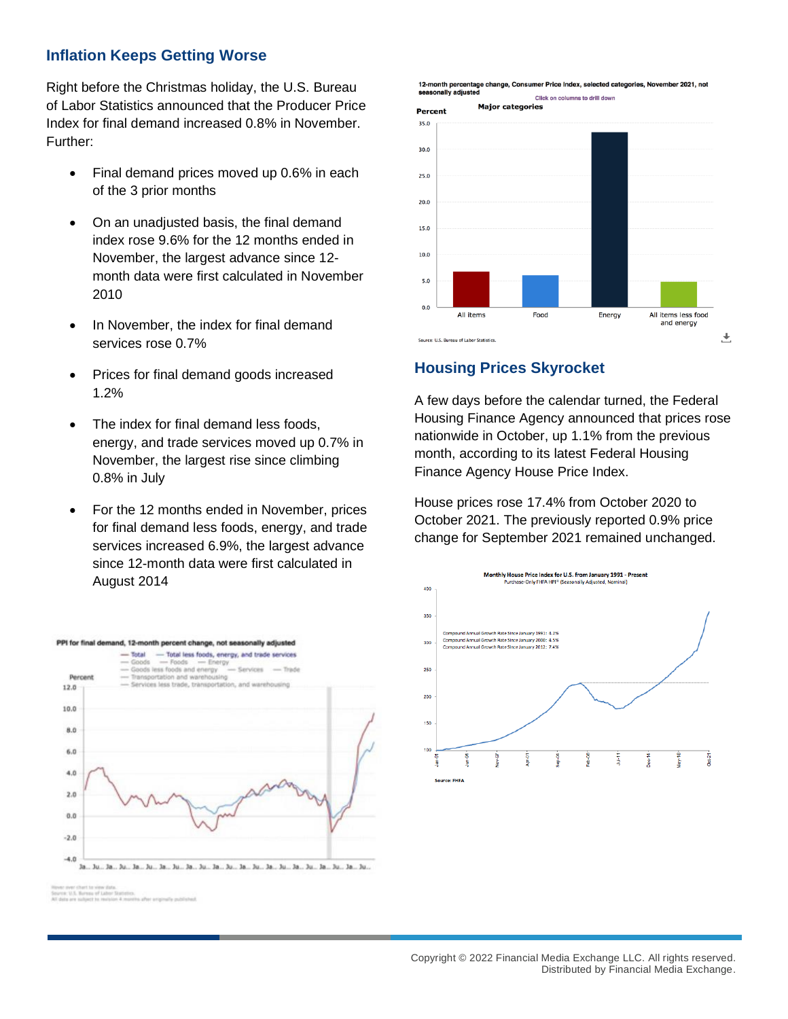# **Inflation Keeps Getting Worse**

Right before the Christmas holiday, the U.S. Bureau of Labor Statistics announced that the Producer Price Index for final demand increased 0.8% in November. Further:

- Final demand prices moved up 0.6% in each of the 3 prior months
- On an unadjusted basis, the final demand index rose 9.6% for the 12 months ended in November, the largest advance since 12 month data were first calculated in November 2010
- In November, the index for final demand services rose 0.7%
- Prices for final demand goods increased 1.2%
- The index for final demand less foods. energy, and trade services moved up 0.7% in November, the largest rise since climbing 0.8% in July
- For the 12 months ended in November, prices for final demand less foods, energy, and trade services increased 6.9%, the largest advance since 12-month data were first calculated in August 2014





## **Housing Prices Skyrocket**

A few days before the calendar turned, the Federal Housing Finance Agency announced that prices rose nationwide in October, up 1.1% from the previous month, according to its latest Federal Housing Finance Agency House Price Index.

House prices rose 17.4% from October 2020 to October 2021. The previously reported 0.9% price change for September 2021 remained unchanged.



a silico accomular